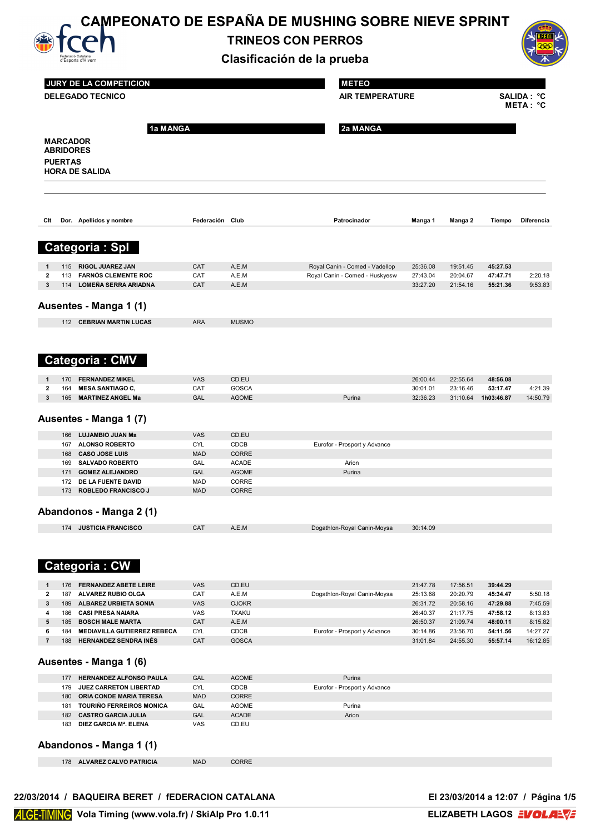

# **CAMPEONATO DE ESPAÑA DE MUSHING SOBRE NIEVE SPRINT**

**TRINEOS CON PERROS**



|                                     | Federació Catalana<br>d'Esports d'Hivern            |                          |                       | Clasificación de la prueba     |                      |                      |                      |                         |
|-------------------------------------|-----------------------------------------------------|--------------------------|-----------------------|--------------------------------|----------------------|----------------------|----------------------|-------------------------|
|                                     | JURY DE LA COMPETICION                              |                          |                       | <b>METEO</b>                   |                      |                      |                      |                         |
|                                     | <b>DELEGADO TECNICO</b>                             |                          |                       | <b>AIR TEMPERATURE</b>         |                      |                      |                      | SALIDA : °C<br>META: °C |
|                                     |                                                     | 1a MANGA                 |                       | 2a MANGA                       |                      |                      |                      |                         |
| <b>MARCADOR</b><br><b>ABRIDORES</b> |                                                     |                          |                       |                                |                      |                      |                      |                         |
| <b>PUERTAS</b>                      |                                                     |                          |                       |                                |                      |                      |                      |                         |
|                                     | <b>HORA DE SALIDA</b>                               |                          |                       |                                |                      |                      |                      |                         |
|                                     |                                                     |                          |                       |                                |                      |                      |                      |                         |
| Clt                                 | Dor. Apellidos y nombre                             | Federación Club          |                       | Patrocinador                   | Manga 1              | Manga 2              | Tiempo               | Diferencia              |
|                                     | <b>Categoria: Spl</b>                               |                          |                       |                                |                      |                      |                      |                         |
| 115<br>1                            | RIGOL JUAREZ JAN                                    | CAT                      | A.E.M                 | Royal Canin - Comed - Vadellop | 25:36.08             | 19:51.45             | 45:27.53             |                         |
| 2<br>113                            | <b>FARNÓS CLEMENTE ROC</b>                          | CAT                      | A.E.M                 | Royal Canin - Comed - Huskyesw | 27:43.04             | 20:04.67             | 47:47.71             | 2:20.18                 |
| 3<br>114                            | <b>LOMEÑA SERRA ARIADNA</b>                         | <b>CAT</b>               | A.E.M                 |                                | 33:27.20             | 21:54.16             | 55:21.36             | 9:53.83                 |
|                                     | Ausentes - Manga 1 (1)                              |                          |                       |                                |                      |                      |                      |                         |
|                                     | 112 CEBRIAN MARTIN LUCAS                            | <b>ARA</b>               | <b>MUSMO</b>          |                                |                      |                      |                      |                         |
|                                     |                                                     |                          |                       |                                |                      |                      |                      |                         |
|                                     | <b>Categoria: CMV</b>                               |                          |                       |                                |                      |                      |                      |                         |
| 170<br>1                            | <b>FERNANDEZ MIKEL</b>                              | <b>VAS</b>               | CD.EU                 |                                | 26:00.44             | 22:55.64             | 48:56.08             |                         |
| 2<br>164                            | <b>MESA SANTIAGO C,</b>                             | CAT                      | <b>GOSCA</b>          |                                | 30:01.01             | 23:16.46             | 53:17.47             | 4:21.39                 |
| 3<br>165                            | <b>MARTINEZ ANGEL Ma</b>                            | GAL                      | <b>AGOME</b>          | Purina                         | 32:36.23             | 31:10.64             | 1h03:46.87           | 14:50.79                |
|                                     | Ausentes - Manga 1 (7)                              |                          |                       |                                |                      |                      |                      |                         |
| 166                                 | LUJAMBIO JUAN Ma<br>167 ALONSO ROBERTO              | <b>VAS</b><br><b>CYL</b> | CD.EU<br>CDCB         | Eurofor - Prosport y Advance   |                      |                      |                      |                         |
| 168                                 | <b>CASO JOSE LUIS</b>                               | <b>MAD</b>               | <b>CORRE</b>          |                                |                      |                      |                      |                         |
| 169                                 | <b>SALVADO ROBERTO</b>                              | GAL                      | <b>ACADE</b>          | Arion                          |                      |                      |                      |                         |
| 171                                 | <b>GOMEZ ALEJANDRO</b>                              | GAL                      | <b>AGOME</b>          | Purina                         |                      |                      |                      |                         |
| 172                                 | DE LA FUENTE DAVID                                  | MAD                      | CORRE                 |                                |                      |                      |                      |                         |
| 173                                 | <b>ROBLEDO FRANCISCO J</b>                          | <b>MAD</b>               | <b>CORRE</b>          |                                |                      |                      |                      |                         |
|                                     | Abandonos - Manga 2 (1)                             |                          |                       |                                |                      |                      |                      |                         |
| 174                                 | <b>JUSTICIA FRANCISCO</b>                           | CAT                      | A.E.M                 | Dogathlon-Royal Canin-Moysa    | 30:14.09             |                      |                      |                         |
|                                     |                                                     |                          |                       |                                |                      |                      |                      |                         |
|                                     | <b>Categoria: CW</b>                                |                          |                       |                                |                      |                      |                      |                         |
| 1<br>176                            | <b>FERNANDEZ ABETE LEIRE</b>                        | <b>VAS</b>               | CD.EU                 |                                | 21:47.78             | 17:56.51             | 39:44.29             |                         |
| 2<br>187                            | ALVAREZ RUBIO OLGA                                  | CAT                      | A.E.M                 | Dogathlon-Royal Canin-Moysa    | 25:13.68             | 20:20.79             | 45:34.47             | 5:50.18                 |
| 3<br>189                            | ALBAREZ URBIETA SONIA                               | VAS                      | <b>OJOKR</b>          |                                | 26:31.72             | 20:58.16             | 47:29.88             | 7:45.59                 |
| 4<br>186<br>5<br>185                | <b>CASI PRESA NAIARA</b><br><b>BOSCH MALE MARTA</b> | VAS<br>CAT               | <b>TXAKU</b><br>A.E.M |                                | 26:40.37<br>26:50.37 | 21:17.75<br>21:09.74 | 47:58.12<br>48:00.11 | 8:13.83<br>8:15.82      |
| 6<br>184                            | <b>MEDIAVILLA GUTIERREZ REBECA</b>                  | <b>CYL</b>               | CDCB                  | Eurofor - Prosport y Advance   | 30:14.86             | 23:56.70             | 54:11.56             | 14:27.27                |
| $\overline{\mathbf{r}}$<br>188      | <b>HERNANDEZ SENDRA INÉS</b>                        | CAT                      | <b>GOSCA</b>          |                                | 31:01.84             | 24:55.30             | 55:57.14             | 16:12.85                |
|                                     | Ausentes - Manga 1 (6)                              |                          |                       |                                |                      |                      |                      |                         |
| 177                                 | HERNANDEZ ALFONSO PAULA                             | GAL                      | <b>AGOME</b>          | Purina                         |                      |                      |                      |                         |
| 179                                 | JUEZ CARRETON LIBERTAD                              | <b>CYL</b>               | <b>CDCB</b>           | Eurofor - Prosport y Advance   |                      |                      |                      |                         |
| 180                                 | ORIA CONDE MARIA TERESA                             | <b>MAD</b>               | CORRE                 |                                |                      |                      |                      |                         |
| 181                                 | <b>TOURIÑO FERREIROS MONICA</b>                     | GAL                      | <b>AGOME</b>          | Purina                         |                      |                      |                      |                         |
| 182<br>183                          | <b>CASTRO GARCIA JULIA</b><br>DIEZ GARCIA Mª. ELENA | GAL<br>VAS               | <b>ACADE</b><br>CD.EU | Arion                          |                      |                      |                      |                         |
|                                     | Abandonos - Manga 1 (1)                             |                          |                       |                                |                      |                      |                      |                         |
| 178                                 | ALVAREZ CALVO PATRICIA                              | <b>MAD</b>               | CORRE                 |                                |                      |                      |                      |                         |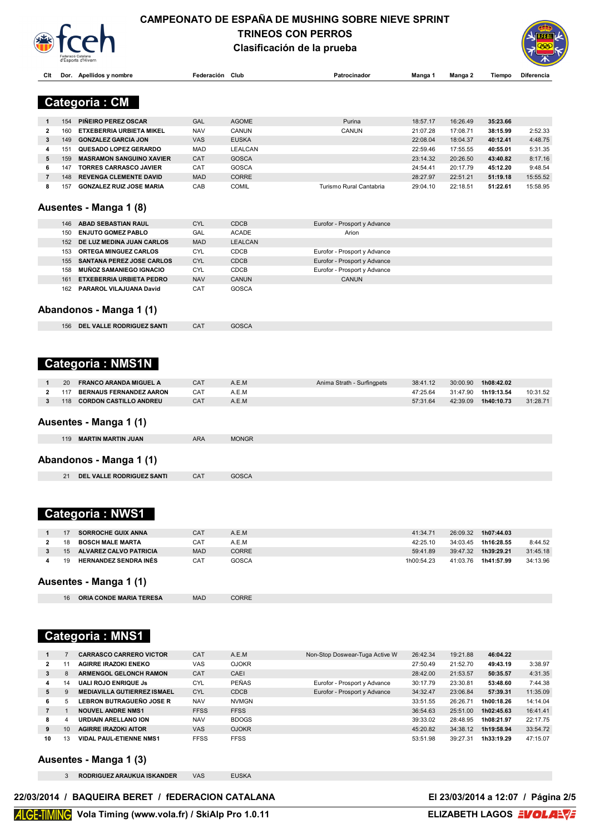

### **CAMPEONATO DE ESPAÑA DE MUSHING SOBRE NIEVE SPRINT TRINEOS CON PERROS Clasificación de la prueba**



| Clt            |     | Dor. Apellidos y nombre          | Federación Club |                | Patrocinador                 | Manga 1    | Manga 2  | Tiempo     | Diferencia |
|----------------|-----|----------------------------------|-----------------|----------------|------------------------------|------------|----------|------------|------------|
|                |     |                                  |                 |                |                              |            |          |            |            |
|                |     | <b>Categoria: CM</b>             |                 |                |                              |            |          |            |            |
|                |     |                                  |                 |                |                              |            |          |            |            |
| 1              | 154 | PIÑEIRO PEREZ OSCAR              | GAL             | <b>AGOME</b>   | Purina                       | 18:57.17   | 16:26.49 | 35:23.66   |            |
| 2              | 160 | ETXEBERRIA URBIETA MIKEL         | <b>NAV</b>      | CANUN          | CANUN                        | 21:07.28   | 17:08.71 | 38:15.99   | 2:52.33    |
| 3              | 149 | <b>GONZALEZ GARCIA JON</b>       | VAS             | <b>EUSKA</b>   |                              | 22:08.04   | 18:04.37 | 40:12.41   | 4:48.75    |
| 4              | 151 | <b>QUESADO LOPEZ GERARDO</b>     | <b>MAD</b>      | <b>LEALCAN</b> |                              | 22:59.46   | 17:55.55 | 40:55.01   | 5:31.35    |
| 5              | 159 | <b>MASRAMON SANGUINO XAVIER</b>  | CAT             | <b>GOSCA</b>   |                              | 23:14.32   | 20:26.50 | 43:40.82   | 8:17.16    |
| 6              | 147 | <b>TORRES CARRASCO JAVIER</b>    | CAT             | <b>GOSCA</b>   |                              | 24:54.41   | 20:17.79 | 45:12.20   | 9:48.54    |
| $\overline{7}$ | 148 | <b>REVENGA CLEMENTE DAVID</b>    | <b>MAD</b>      | CORRE          |                              | 28:27.97   | 22:51.21 | 51:19.18   | 15:55.52   |
| 8              | 157 | <b>GONZALEZ RUIZ JOSE MARIA</b>  | CAB             | <b>COMIL</b>   | Turismo Rural Cantabria      | 29:04.10   | 22:18.51 | 51:22.61   | 15:58.95   |
|                |     |                                  |                 |                |                              |            |          |            |            |
|                |     | Ausentes - Manga 1 (8)           |                 |                |                              |            |          |            |            |
|                |     |                                  |                 |                |                              |            |          |            |            |
|                | 146 | ABAD SEBASTIAN RAUL              | <b>CYL</b>      | <b>CDCB</b>    | Eurofor - Prosport y Advance |            |          |            |            |
|                | 150 | <b>ENJUTO GOMEZ PABLO</b>        | GAL             | <b>ACADE</b>   | Arion                        |            |          |            |            |
|                | 152 | DE LUZ MEDINA JUAN CARLOS        | <b>MAD</b>      | <b>LEALCAN</b> |                              |            |          |            |            |
|                | 153 | ORTEGA MINGUEZ CARLOS            | <b>CYL</b>      | CDCB           | Eurofor - Prosport y Advance |            |          |            |            |
|                | 155 | SANTANA PEREZ JOSE CARLOS        | <b>CYL</b>      | <b>CDCB</b>    | Eurofor - Prosport y Advance |            |          |            |            |
|                | 158 | <b>MUÑOZ SAMANIEGO IGNACIO</b>   | <b>CYL</b>      | <b>CDCB</b>    | Eurofor - Prosport y Advance |            |          |            |            |
|                | 161 | <b>ETXEBERRIA URBIETA PEDRO</b>  | <b>NAV</b>      | CANUN          | CANUN                        |            |          |            |            |
|                | 162 | PARAROL VILAJUANA David          | CAT             | GOSCA          |                              |            |          |            |            |
|                |     |                                  |                 |                |                              |            |          |            |            |
|                |     | Abandonos - Manga 1 (1)          |                 |                |                              |            |          |            |            |
|                |     |                                  |                 |                |                              |            |          |            |            |
|                | 156 | DEL VALLE RODRIGUEZ SANTI        | CAT             | <b>GOSCA</b>   |                              |            |          |            |            |
|                |     |                                  |                 |                |                              |            |          |            |            |
|                |     |                                  |                 |                |                              |            |          |            |            |
|                |     |                                  |                 |                |                              |            |          |            |            |
|                |     | <b>Categoria: NMS1N</b>          |                 |                |                              |            |          |            |            |
|                |     |                                  |                 |                |                              |            |          |            |            |
| 1              | 20  | <b>FRANCO ARANDA MIGUEL A</b>    | CAT             | A.E.M          | Anima Strath - Surfingpets   | 38:41.12   | 30:00.90 | 1h08:42.02 |            |
| 2              | 117 | <b>BERNAUS FERNANDEZ AARON</b>   | CAT             | A.E.M          |                              | 47:25.64   | 31:47.90 | 1h19:13.54 | 10:31.52   |
| 3              | 118 | <b>CORDON CASTILLO ANDREU</b>    | CAT             | A.E.M          |                              | 57:31.64   | 42:39.09 | 1h40:10.73 | 31:28.71   |
|                |     |                                  |                 |                |                              |            |          |            |            |
|                |     | Ausentes - Manga 1 (1)           |                 |                |                              |            |          |            |            |
|                |     | 119 MARTIN MARTIN JUAN           | <b>ARA</b>      | <b>MONGR</b>   |                              |            |          |            |            |
|                |     |                                  |                 |                |                              |            |          |            |            |
|                |     |                                  |                 |                |                              |            |          |            |            |
|                |     | Abandonos - Manga 1 (1)          |                 |                |                              |            |          |            |            |
|                | 21  | <b>DEL VALLE RODRIGUEZ SANTI</b> | CAT             | <b>GOSCA</b>   |                              |            |          |            |            |
|                |     |                                  |                 |                |                              |            |          |            |            |
|                |     |                                  |                 |                |                              |            |          |            |            |
|                |     |                                  |                 |                |                              |            |          |            |            |
|                |     | <b>Categoria: NWS1</b>           |                 |                |                              |            |          |            |            |
|                |     |                                  |                 |                |                              |            |          |            |            |
| 1              | 17  | <b>SORROCHE GUIX ANNA</b>        | CAT             | A.E.M          |                              | 41:34.71   | 26:09.32 | 1h07:44.03 |            |
| 2              | 18  | <b>BOSCH MALE MARTA</b>          | CAT             | A.E.M          |                              | 42:25.10   | 34:03.45 | 1h16:28.55 | 8:44.52    |
| 3              | 15  | ALVAREZ CALVO PATRICIA           | <b>MAD</b>      | <b>CORRE</b>   |                              | 59:41.89   | 39:47.32 | 1h39:29.21 | 31:45.18   |
| 4              | 19  | <b>HERNANDEZ SENDRA INÉS</b>     | CAT             | <b>GOSCA</b>   |                              | 1h00:54.23 | 41:03.76 | 1h41:57.99 | 34:13.96   |
|                |     |                                  |                 |                |                              |            |          |            |            |

**Ausentes - Manga 1 (1)**

**ORIA CONDE MARIA TERESA** MAD CORRE

# **Categoria : MNS1**

|              |    | <b>CARRASCO CARRERO VICTOR</b>     | CA <sub>1</sub> | A.E.M        | Non-Stop Doswear-Tuga Active W | 26:42.34 | 19:21.88 | 46:04.22   |          |
|--------------|----|------------------------------------|-----------------|--------------|--------------------------------|----------|----------|------------|----------|
| $\mathbf{2}$ |    | AGIRRE IRAZOKI ENEKO               | VAS             | <b>OJOKR</b> |                                | 27:50.49 | 21:52.70 | 49:43.19   | 3:38.97  |
| 3            |    | <b>ARMENGOL GELONCH RAMON</b>      | CAT             | CAEI         |                                | 28:42.00 | 21:53.57 | 50:35.57   | 4:31.35  |
| 4            | 14 | <b>UALI ROJO ENRIQUE JS</b>        | CYL             | PEÑAS        | Eurofor - Prosport y Advance   | 30:17.79 | 23:30.81 | 53:48.60   | 7:44.38  |
| 5            |    | <b>MEDIAVILLA GUTIERREZ ISMAEL</b> | <b>CYL</b>      | <b>CDCB</b>  | Eurofor - Prosport y Advance   | 34:32.47 | 23:06.84 | 57:39.31   | 11:35.09 |
| 6.           | 5  | LEBRON BUTRAGUEÑO JOSE R           | <b>NAV</b>      | <b>NVMGN</b> |                                | 33:51.55 | 26:26.71 | 1h00:18.26 | 14:14.04 |
|              |    | <b>NOUVEL ANDRE NMS1</b>           | <b>FFSS</b>     | <b>FFSS</b>  |                                | 36:54.63 | 25:51.00 | 1h02:45.63 | 16:41.41 |
| 8            |    | <b>URDIAIN ARELLANO ION</b>        | <b>NAV</b>      | <b>BDOGS</b> |                                | 39:33.02 | 28:48.95 | 1h08:21.97 | 22:17.75 |
| 9            |    | <b>AGIRRE IRAZOKI AITOR</b>        | <b>VAS</b>      | <b>OJOKR</b> |                                | 45:20.82 | 34:38.12 | 1h19:58.94 | 33:54.72 |
| 10           | 13 | <b>VIDAL PAUL ETIENNE NMS1</b>     | <b>FFSS</b>     | <b>FFSS</b>  |                                | 53:51.98 | 39:27.31 | 1h33:19.29 | 47:15.07 |

#### **Ausentes - Manga 1 (3)**

**RODRIGUEZ ARAUKUA ISKANDER** VAS EUSKA

22/03/2014 / BAQUEIRA BERET / fEDERACION CATALANA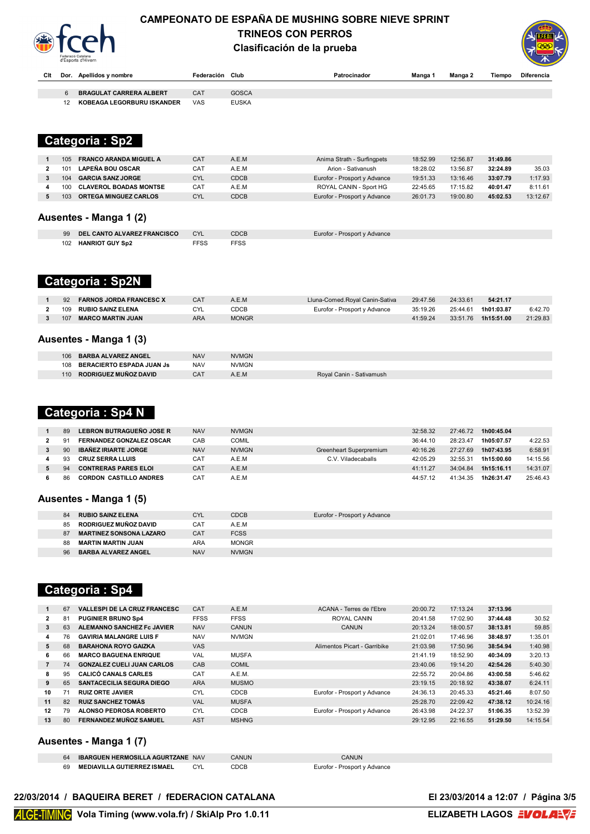

### **CAMPEONATO DE ESPAÑA DE MUSHING SOBRE NIEVE SPRINT TRINEOS CON PERROS Clasificación de la prueba**



| Clt |    | Dor. Apellidos y nombre        | Federación Club |              | Patrocinador | Manga | Manga 2 | Tiempo | Diferencia |
|-----|----|--------------------------------|-----------------|--------------|--------------|-------|---------|--------|------------|
|     |    |                                |                 |              |              |       |         |        |            |
|     |    | <b>BRAGULAT CARRERA ALBERT</b> | CAT             | <b>GOSCA</b> |              |       |         |        |            |
|     | 12 | KOBEAGA LEGORBURU ISKANDER     | VAS             | <b>EUSKA</b> |              |       |         |        |            |

### **MARCADOR Categoria : Sp2**

| <b>FRANCO ARANDA MIGUEL A</b><br>105 | CA <sub>1</sub> | A.E.M       | Anima Strath - Surfingpets   | 18:52.99 | 12:56.87 | 31:49.86 |          |
|--------------------------------------|-----------------|-------------|------------------------------|----------|----------|----------|----------|
| <b>LAPEÑA BOU OSCAR</b><br>101       | CA1             | A.E.M       | Arion - Sativanush           | 18:28.02 | 13:56.87 | 32:24.89 | 35.03    |
| <b>GARCIA SANZ JORGE</b><br>104      | <b>CYL</b>      | <b>CDCB</b> | Eurofor - Prosport y Advance | 19:51.33 | 13:16.46 | 33:07.79 | 1:17.93  |
| <b>CLAVEROL BOADAS MONTSE</b><br>100 | CA <sub>1</sub> | A.E.M       | ROYAL CANIN - Sport HG       | 22:45.65 | 17:15.82 | 40:01.47 | 8:11.61  |
| <b>ORTEGA MINGUEZ CARLOS</b><br>103  | CYL             | <b>CDCB</b> | Eurofor - Prosport y Advance | 26:01.73 | 19:00.80 | 45:02.53 | 13:12.67 |
|                                      |                 |             |                              |          |          |          |          |

### **Ausentes - Manga 1 (2)**

| 99  | <b>DEL CANTO ALVAREZ FRANCISCO</b> | CYL        | CDCB | Eurofor - Prosport y Advance |
|-----|------------------------------------|------------|------|------------------------------|
| 102 | <b>HANRIOT GUY Sp2</b>             | <b>FSS</b> | гээ  |                              |

## **Categoria : Sp2N**

| 92<br><b>FARNOS JORDA FRANCESC X</b> |     | A.E.M        | Lluna-Comed.Royal Canin-Sativa | 29:47.56 | 24:33.61 | 54:21.17   |          |
|--------------------------------------|-----|--------------|--------------------------------|----------|----------|------------|----------|
| 109<br><b>RUBIO SAINZ ELENA</b>      |     | CDCB         | Eurofor - Prosport y Advance   | 35:19.26 | 25:44.61 | 1h01:03.87 | 6:42.70  |
| 107<br><b>MARCO MARTIN JUAN</b>      | ARA | <b>MONGR</b> |                                | 41:59.24 | 33:51.76 | 1h15:51.00 | 21:29.83 |

#### **Ausentes - Manga 1 (3)**

| <b>BARBA ALVAREZ ANGEL</b><br>106       | <b>NAV</b> | <b>NVMGN</b> |                          |
|-----------------------------------------|------------|--------------|--------------------------|
| <b>BERACIERTO ESPADA JUAN Js</b><br>108 | <b>NAV</b> | <b>NVMGN</b> |                          |
| RODRIGUEZ MUÑOZ DAVID<br>110            |            |              | Roval Canin - Sativamush |

### **Categoria : Sp4 N**

| 89 | LEBRON BUTRAGUEÑO JOSE R        | <b>NAV</b>      | <b>NVMGN</b> |                         | 32:58.32 | 27:46.72 | 1h00:45.04 |          |
|----|---------------------------------|-----------------|--------------|-------------------------|----------|----------|------------|----------|
| 91 | <b>FERNANDEZ GONZALEZ OSCAR</b> | CAB             | COMIL        |                         | 36:44.10 | 28:23.47 | 1h05:07.57 | 4:22.53  |
| 90 | <b>IBAÑEZ IRIARTE JORGE</b>     | <b>NAV</b>      | <b>NVMGN</b> | Greenheart Superpremium | 40:16.26 | 27:27.69 | 1h07:43.95 | 6:58.91  |
| 93 | CRUZ SERRA I LUIS               | CA <sub>1</sub> | A.E.M        | C.V. Viladecaballs      | 42:05.29 | 32:55.31 | 1h15:00.60 | 14:15.56 |
| 94 | <b>CONTRERAS PARES ELOI</b>     | CA <sub>1</sub> | A.E.M        |                         | 41:11.27 | 34:04.84 | 1h15:16.11 | 14:31.07 |
| 86 | <b>CORDON CASTILLO ANDRES</b>   | CA <sub>1</sub> | A.E.M        |                         | 44:57.12 | 41:34.35 | 1h26:31.47 | 25:46.43 |

#### **Ausentes - Manga 1 (5)**

| 84 | <b>RUBIO SAINZ ELENA</b>       | <b>CYL</b> | <b>CDCB</b>  | Eurofor - Prosport y Advance |
|----|--------------------------------|------------|--------------|------------------------------|
| 85 | RODRIGUEZ MUÑOZ DAVID          | CAT        | A.E.M        |                              |
| 87 | <b>MARTINEZ SONSONA LAZARO</b> | <b>CAT</b> | <b>FCSS</b>  |                              |
| 88 | MARTIN MARTIN JUAN             | ARA        | <b>MONGR</b> |                              |
| 96 | <b>BARBA ALVAREZ ANGEL</b>     | <b>NAV</b> | <b>NVMGN</b> |                              |
|    |                                |            |              |                              |

### **Categoria : Sp4**

|              | 67 | <b>VALLESPI DE LA CRUZ FRANCESC</b> | CAT         | A.E.M        | ACANA - Terres de l'Ebre     | 20:00.72 | 17:13.24 | 37:13.96 |          |
|--------------|----|-------------------------------------|-------------|--------------|------------------------------|----------|----------|----------|----------|
| $\mathbf{2}$ | 81 | <b>PUGINIER BRUNO Sp4</b>           | <b>FFSS</b> | <b>FFSS</b>  | ROYAL CANIN                  | 20:41.58 | 17:02.90 | 37:44.48 | 30.52    |
| 3            | 63 | ALEMANNO SANCHEZ Fc JAVIER          | <b>NAV</b>  | <b>CANUN</b> | <b>CANUN</b>                 | 20:13.24 | 18:00.57 | 38:13.81 | 59.85    |
| 4            | 76 | <b>GAVIRIA MALANGRE LUIS F</b>      | <b>NAV</b>  | <b>NVMGN</b> |                              | 21:02.01 | 17:46.96 | 38:48.97 | 1:35.01  |
| 5            | 68 | <b>BARAHONA ROYO GAIZKA</b>         | <b>VAS</b>  |              | Alimentos Picart - Garribike | 21:03.98 | 17:50.96 | 38:54.94 | 1:40.98  |
| 6            | 66 | <b>MARCO BAGUENA ENRIQUE</b>        | <b>VAL</b>  | <b>MUSFA</b> |                              | 21:41.19 | 18:52.90 | 40:34.09 | 3:20.13  |
|              | 74 | <b>GONZALEZ CUELI JUAN CARLOS</b>   | CAB         | <b>COMIL</b> |                              | 23:40.06 | 19:14.20 | 42:54.26 | 5:40.30  |
| 8            | 95 | <b>CALICÓ CANALS CARLES</b>         | CAT         | A.E.M.       |                              | 22:55.72 | 20:04.86 | 43:00.58 | 5:46.62  |
| 9            | 65 | <b>SANTACECILIA SEGURA DIEGO</b>    | <b>ARA</b>  | <b>MUSMO</b> |                              | 23:19.15 | 20:18.92 | 43:38.07 | 6:24.11  |
| 10           | 71 | <b>RUIZ ORTE JAVIER</b>             | <b>CYL</b>  | <b>CDCB</b>  | Eurofor - Prosport y Advance | 24:36.13 | 20:45.33 | 45:21.46 | 8:07.50  |
| 11           | 82 | <b>RUIZ SANCHEZ TOMÁS</b>           | <b>VAL</b>  | <b>MUSFA</b> |                              | 25:28.70 | 22:09.42 | 47:38.12 | 10:24.16 |
| 12           | 79 | ALONSO PEDROSA ROBERTO              | <b>CYL</b>  | <b>CDCB</b>  | Eurofor - Prosport y Advance | 26:43.98 | 24:22.37 | 51:06.35 | 13:52.39 |
| 13           | 80 | <b>FERNANDEZ MUÑOZ SAMUEL</b>       | <b>AST</b>  | <b>MSHNG</b> |                              | 29:12.95 | 22:16.55 | 51:29.50 | 14:15.54 |
|              |    |                                     |             |              |                              |          |          |          |          |

### **Ausentes - Manga 1 (7)**

| 64 | <b>IBARGUEN HERMOSILLA AGURTZANE NAV</b> |     | CANUN | CANUN.                       |
|----|------------------------------------------|-----|-------|------------------------------|
| 69 | <b>MEDIAVILLA GUTIERREZ ISMAEL</b>       | CYL | CDCB  | Eurofor - Prosport y Advance |

#### 22/03/2014 / BAQUEIRA BERET / fEDERACION CATALANA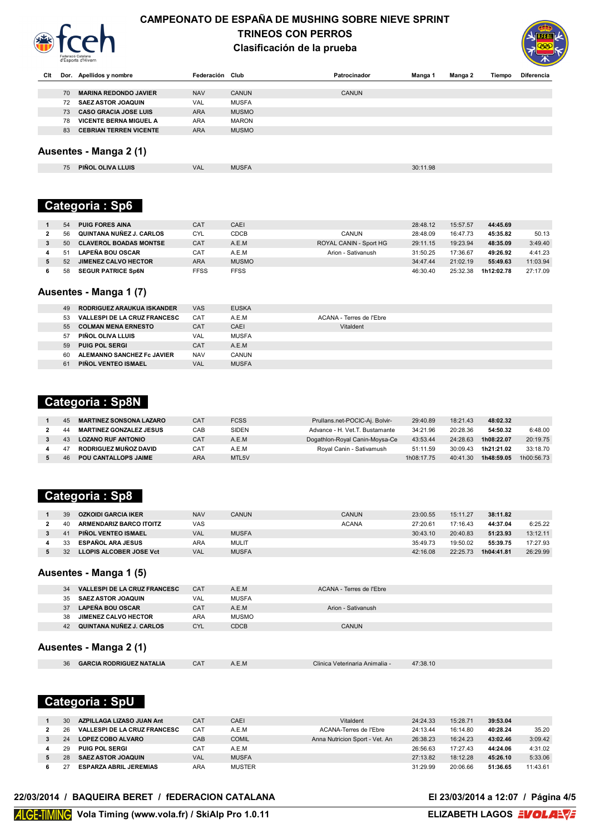

### **CAMPEONATO DE ESPAÑA DE MUSHING SOBRE NIEVE SPRINT TRINEOS CON PERROS Clasificación de la prueba**



| Clt                    |    | Dor. Apellidos y nombre       | Federación Club |              | Patrocinador | Manga 1 | Manga 2 | Tiempo | <b>Diferencia</b> |  |
|------------------------|----|-------------------------------|-----------------|--------------|--------------|---------|---------|--------|-------------------|--|
|                        |    |                               |                 |              |              |         |         |        |                   |  |
|                        | 70 | <b>MARINA REDONDO JAVIER</b>  | <b>NAV</b>      | <b>CANUN</b> | <b>CANUN</b> |         |         |        |                   |  |
|                        | 72 | <b>SAEZ ASTOR JOAQUIN</b>     | VAL             | <b>MUSFA</b> |              |         |         |        |                   |  |
|                        | 73 | <b>CASO GRACIA JOSE LUIS</b>  | <b>ARA</b>      | <b>MUSMO</b> |              |         |         |        |                   |  |
|                        | 78 | <b>VICENTE BERNA MIGUEL A</b> | <b>ARA</b>      | <b>MARON</b> |              |         |         |        |                   |  |
|                        | 83 | <b>CEBRIAN TERREN VICENTE</b> | <b>ARA</b>      | <b>MUSMO</b> |              |         |         |        |                   |  |
|                        |    |                               |                 |              |              |         |         |        |                   |  |
| Ausentes - Manga 2 (1) |    |                               |                 |              |              |         |         |        |                   |  |

| 75 | LUIS.<br><b>PINO</b><br><b>OLIVA</b> | VAL | 1100<br>vu | $\Omega$<br>30:1<br>.70 |
|----|--------------------------------------|-----|------------|-------------------------|
|    |                                      |     |            |                         |

# **Categoria : Sp6**

| 54 | <b>PUIG FORES AINA</b>        | CAT        | CAEI         |                        | 28:48.12 | 15:57.57 | 44:45.69   |          |
|----|-------------------------------|------------|--------------|------------------------|----------|----------|------------|----------|
| 56 | QUINTANA NUÑEZ J. CARLOS      | <b>CYL</b> | <b>CDCB</b>  | CANUN                  | 28:48.09 | 16:47.73 | 45:35.82   | 50.13    |
| 50 | <b>CLAVEROL BOADAS MONTSE</b> | CAT        | A.E.M        | ROYAL CANIN - Sport HG | 29:11.15 | 19:23.94 | 48:35.09   | 3:49.40  |
|    | <b>LAPEÑA BOU OSCAR</b>       | CAT        | A.E.M        | Arion - Sativanush     | 31:50.25 | 17:36.67 | 49:26.92   | 4:41.23  |
| 52 | <b>JIMENEZ CALVO HECTOR</b>   | ARA        | <b>MUSMO</b> |                        | 34:47.44 | 21:02.19 | 55:49.63   | 11:03.94 |
| 58 | <b>SEGUR PATRICE Sp6N</b>     | FFSS       | <b>FFSS</b>  |                        | 46:30.40 | 25:32.38 | 1h12:02.78 | 27:17.09 |

## **Ausentes - Manga 1 (7)**

| 49 | RODRIGUEZ ARAUKUA ISKANDER          | <b>VAS</b> | <b>EUSKA</b> |                          |
|----|-------------------------------------|------------|--------------|--------------------------|
| 53 | <b>VALLESPI DE LA CRUZ FRANCESC</b> | <b>CAT</b> | A.E.M        | ACANA - Terres de l'Ebre |
| 55 | <b>COLMAN MENA ERNESTO</b>          | <b>CAT</b> | CAEI         | Vitaldent                |
| 57 | PIÑOL OLIVA LLUIS                   | VAL        | <b>MUSFA</b> |                          |
| 59 | <b>PUIG POL SERGI</b>               | <b>CAT</b> | A.E.M        |                          |
| 60 | ALEMANNO SANCHEZ Fc JAVIER          | <b>NAV</b> | CANUN        |                          |
| 61 | PIÑOL VENTEO ISMAEL                 | <b>VAL</b> | <b>MUSFA</b> |                          |

## **Categoria : Sp8N**

| 45 | <b>MARTINEZ SONSONA LAZARO</b> | CA <sub>1</sub> | <b>FCSS</b>  | Prullans.net-POCIC-Aj. Bolvir- | 29:40.89   | 18:21.43 | 48:02.32   |            |
|----|--------------------------------|-----------------|--------------|--------------------------------|------------|----------|------------|------------|
|    | <b>MARTINEZ GONZALEZ JESUS</b> | САВ             | <b>SIDEN</b> | Advance - H. Vet.T. Bustamante | 34:21.96   | 20:28.36 | 54:50.32   | 6:48.00    |
|    | <b>LOZANO RUF ANTONIO</b>      | CA <sub>1</sub> | A.E.M        | Dogathlon-Royal Canin-Moysa-Ce | 43:53.44   | 24:28.63 | 1h08:22.07 | 20:19.75   |
|    | RODRIGUEZ MUÑOZ DAVID          | CA1             | A.E.M        | Roval Canin - Sativamush       | 51:11.59   | 30:09.43 | 1h21:21.02 | 33:18.70   |
| 46 | <b>POU CANTALLOPS JAIME</b>    | <b>ARA</b>      | MTL5V        |                                | 1h08:17.75 | 40:41.30 | 1h48:59.05 | 1h00:56.73 |

# **Categoria : Sp8**

| 39              | <b>OZKOIDI GARCIA IKER</b>     | <b>NAV</b> | CANUN        | <b>CANUN</b> | 23:00.55 | 15:11.27 | 38:11.82   |          |
|-----------------|--------------------------------|------------|--------------|--------------|----------|----------|------------|----------|
| 40              | <b>ARMENDARIZ BARCO ITOITZ</b> | VAS        |              | <b>ACANA</b> | 27:20.61 | 17:16.43 | 44:37.04   | 6:25.22  |
| $\overline{41}$ | PIÑOL VENTEO ISMAEL            | VAL        | <b>MUSFA</b> |              | 30:43.10 | 20:40.83 | 51:23.93   | 13:12.11 |
| 33              | <b>ESPAÑOL ARA JESUS</b>       | ARA        | MULIT        |              | 35:49.73 | 19:50.02 | 55:39.75   | 17:27.93 |
| 32              | LLOPIS ALCOBER JOSE Vct        | <b>VAL</b> | <b>MUSFA</b> |              | 42:16.08 | 22:25.73 | 1h04:41.81 | 26:29.99 |

#### **Ausentes - Manga 1 (5)**

| 34                     | <b>VALLESPI DE LA CRUZ FRANCESC</b> | <b>CAT</b> | A.E.M        | ACANA - Terres de l'Ebre       |          |  |  |  |
|------------------------|-------------------------------------|------------|--------------|--------------------------------|----------|--|--|--|
| 35                     | <b>SAEZ ASTOR JOAQUIN</b>           | <b>VAL</b> | MUSFA        |                                |          |  |  |  |
| 37                     | <b>LAPEÑA BOU OSCAR</b>             | <b>CAT</b> | A.E.M        | Arion - Sativanush             |          |  |  |  |
| 38                     | <b>JIMENEZ CALVO HECTOR</b>         | <b>ARA</b> | <b>MUSMO</b> |                                |          |  |  |  |
| 42                     | QUINTANA NUÑEZ J. CARLOS            | <b>CYL</b> | <b>CDCB</b>  | <b>CANUN</b>                   |          |  |  |  |
| Ausentes - Manga 2 (1) |                                     |            |              |                                |          |  |  |  |
| 36                     | <b>GARCIA RODRIGUEZ NATALIA</b>     | <b>CAT</b> | A.E.M        | Clinica Veterinaria Animalia - | 47:38.10 |  |  |  |

# **Categoria : SpU**

| 30 | AZPILLAGA LIZASO JUAN Ant           | CAT | CAEI          | Vitaldent                      | 24:24.33 | 15:28.71 | 39:53.04 |          |
|----|-------------------------------------|-----|---------------|--------------------------------|----------|----------|----------|----------|
| 26 | <b>VALLESPI DE LA CRUZ FRANCESC</b> | CAT | A.E.M         | ACANA-Terres de l'Ebre         | 24:13.44 | 16:14.80 | 40:28.24 | 35.20    |
| 24 | <b>LOPEZ COBO ALVARO</b>            | CAB | <b>COMIL</b>  | Anna Nutricion Sport - Vet. An | 26:38.23 | 16:24.23 | 43:02.46 | 3:09.42  |
| 29 | <b>PUIG POL SERGI</b>               | CAT | A.E.M         |                                | 26:56.63 | 17:27.43 | 44:24.06 | 4:31.02  |
| 28 | <b>SAEZ ASTOR JOAQUIN</b>           | VAL | <b>MUSFA</b>  |                                | 27:13.82 | 18:12.28 | 45:26.10 | 5:33.06  |
|    | <b>ESPARZA ABRIL JEREMIAS</b>       | ARA | <b>MUSTER</b> |                                | 31:29.99 | 20:06.66 | 51:36.65 | 11:43.61 |

#### 22/03/2014 / BAQUEIRA BERET / fEDERACION CATALANA